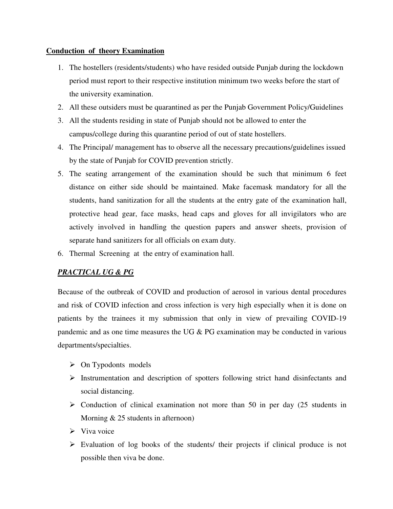## **Conduction of theory Examination**

- 1. The hostellers (residents/students) who have resided outside Punjab during the lockdown period must report to their respective institution minimum two weeks before the start of the university examination.
- 2. All these outsiders must be quarantined as per the Punjab Government Policy/Guidelines
- 3. All the students residing in state of Punjab should not be allowed to enter the campus/college during this quarantine period of out of state hostellers.
- 4. The Principal/ management has to observe all the necessary precautions/guidelines issued by the state of Punjab for COVID prevention strictly.
- 5. The seating arrangement of the examination should be such that minimum 6 feet distance on either side should be maintained. Make facemask mandatory for all the students, hand sanitization for all the students at the entry gate of the examination hall, protective head gear, face masks, head caps and gloves for all invigilators who are actively involved in handling the question papers and answer sheets, provision of separate hand sanitizers for all officials on exam duty.
- 6. Thermal Screening at the entry of examination hall.

## *PRACTICAL UG & PG*

Because of the outbreak of COVID and production of aerosol in various dental procedures and risk of COVID infection and cross infection is very high especially when it is done on patients by the trainees it my submission that only in view of prevailing COVID-19 pandemic and as one time measures the UG & PG examination may be conducted in various departments/specialties.

- $\triangleright$  On Typodonts models
- $\triangleright$  Instrumentation and description of spotters following strict hand disinfectants and social distancing.
- $\triangleright$  Conduction of clinical examination not more than 50 in per day (25 students in Morning & 25 students in afternoon)
- $\triangleright$  Viva voice
- $\triangleright$  Evaluation of log books of the students/ their projects if clinical produce is not possible then viva be done.